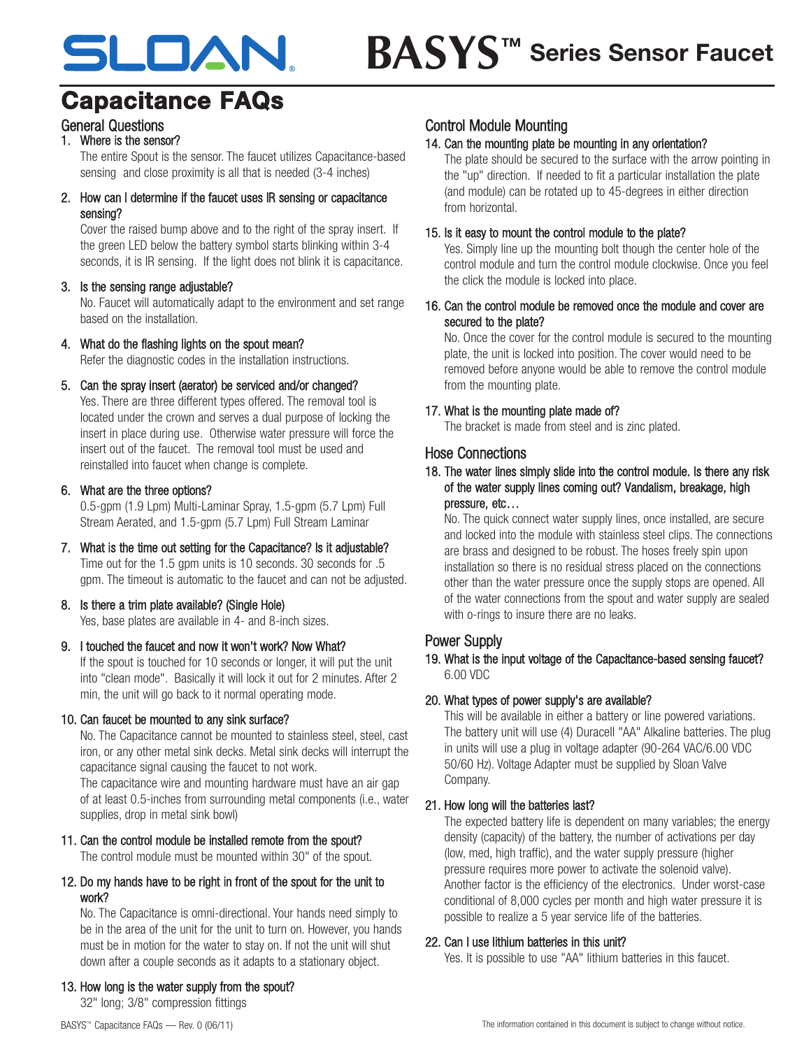# **Series Sensor Faucet BASYS™**SLOAN.

# **Capacitance FAQs**

# General Questions

# 1. Where is the sensor?

The entire Spout is the sensor. The faucet utilizes Capacitance-based sensing and close proximity is all that is needed (3-4 inches)

2. How can I determine if the faucet uses IR sensing or capacitance sensing?

Cover the raised bump above and to the right of the spray insert. If the green LED below the battery symbol starts blinking within 3-4 seconds, it is IR sensing. If the light does not blink it is capacitance.

#### 3. Is the sensing range adjustable?

No. Faucet will automatically adapt to the environment and set range based on the installation.

#### 4. What do the flashing lights on the spout mean?

Refer the diagnostic codes in the installation instructions.

#### 5. Can the spray insert (aerator) be serviced and/or changed?

Yes. There are three different types offered. The removal tool is located under the crown and serves a dual purpose of locking the insert in place during use. Otherwise water pressure will force the insert out of the faucet. The removal tool must be used and reinstalled into faucet when change is complete.

#### 6. What are the three options?

0.5-gpm (1.9 Lpm) Multi-Laminar Spray, 1.5-gpm (5.7 Lpm) Full Stream Aerated, and 1.5-gpm (5.7 Lpm) Full Stream Laminar

7. What is the time out setting for the Capacitance? Is it adjustable? Time out for the 1.5 gpm units is 10 seconds. 30 seconds for .5 gpm. The timeout is automatic to the faucet and can not be adjusted.

# 8. Is there a trim plate available? (Single Hole)

Yes, base plates are available in 4- and 8-inch sizes.

#### 9. I touched the faucet and now it won't work? Now What?

If the spout is touched for 10 seconds or longer, it will put the unit into "clean mode". Basically it will lock it out for 2 minutes. After 2 min, the unit will go back to it normal operating mode.

#### 10. Can faucet be mounted to any sink surface?

No. The Capacitance cannot be mounted to stainless steel, steel, cast iron, or any other metal sink decks. Metal sink decks will interrupt the capacitance signal causing the faucet to not work.

The capacitance wire and mounting hardware must have an air gap of at least 0.5-inches from surrounding metal components (i.e., water supplies, drop in metal sink bowl)

## 11. Can the control module be installed remote from the spout?

The control module must be mounted within 30" of the spout.

#### 12. Do my hands have to be right in front of the spout for the unit to work?

No. The Capacitance is omni-directional. Your hands need simply to be in the area of the unit for the unit to turn on. However, you hands must be in motion for the water to stay on. If not the unit will shut down after a couple seconds as it adapts to a stationary object.

## 13. How long is the water supply from the spout?

32" long; 3/8" compression fittings

## Control Module Mounting

# 14. Can the mounting plate be mounting in any orientation?

The plate should be secured to the surface with the arrow pointing in the "up" direction. If needed to fit a particular installation the plate (and module) can be rotated up to 45-degrees in either direction from horizontal.

## 15. Is it easy to mount the control module to the plate?

Yes. Simply line up the mounting bolt though the center hole of the control module and turn the control module clockwise. Once you feel the click the module is locked into place.

#### 16. Can the control module be removed once the module and cover are secured to the plate?

No. Once the cover for the control module is secured to the mounting plate, the unit is locked into position. The cover would need to be removed before anyone would be able to remove the control module from the mounting plate.

# 17. What is the mounting plate made of?

The bracket is made from steel and is zinc plated.

## Hose Connections

#### 18. The water lines simply slide into the control module. Is there any risk of the water supply lines coming out? Vandalism, breakage, high pressure, etc…

No. The quick connect water supply lines, once installed, are secure and locked into the module with stainless steel clips. The connections are brass and designed to be robust. The hoses freely spin upon installation so there is no residual stress placed on the connections other than the water pressure once the supply stops are opened. All of the water connections from the spout and water supply are sealed with o-rings to insure there are no leaks.

# Power Supply

#### 19. What is the input voltage of the Capacitance-based sensing faucet? 6.00 VDC

#### 20. What types of power supply's are available?

This will be available in either a battery or line powered variations. The battery unit will use (4) Duracell "AA" Alkaline batteries. The plug in units will use a plug in voltage adapter (90-264 VAC/6.00 VDC 50/60 Hz). Voltage Adapter must be supplied by Sloan Valve Company.

#### 21. How long will the batteries last?

The expected battery life is dependent on many variables; the energy density (capacity) of the battery, the number of activations per day (low, med, high traffic), and the water supply pressure (higher pressure requires more power to activate the solenoid valve). Another factor is the efficiency of the electronics. Under worst-case conditional of 8,000 cycles per month and high water pressure it is possible to realize a 5 year service life of the batteries.

#### 22. Can I use lithium batteries in this unit?

Yes. It is possible to use "AA" lithium batteries in this faucet.